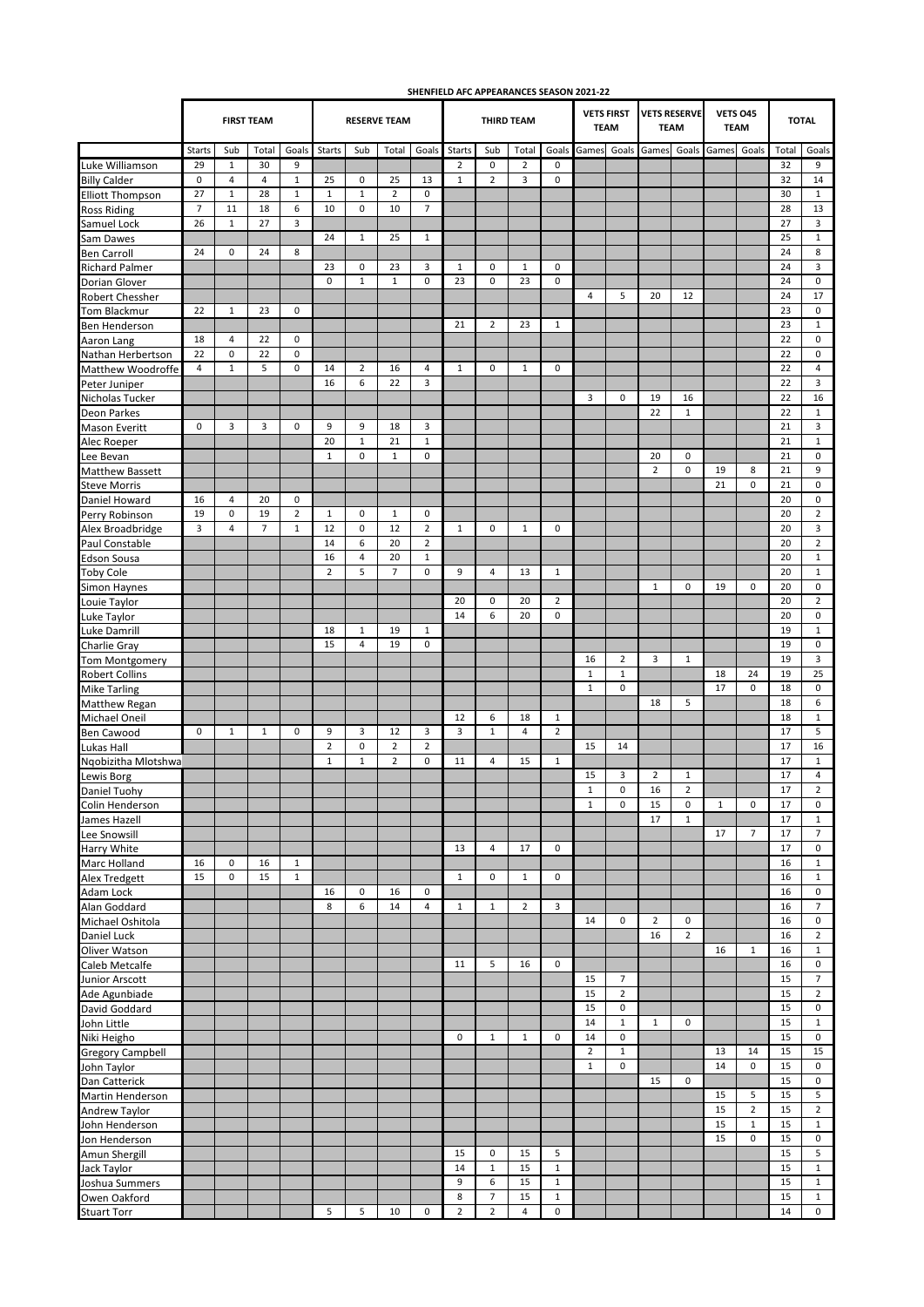|                                   |                      |                   |                |                  |                    |                         |                      |                               | SHENFIELD AFC APPEARANCES SEASON 2021-22 |                   |                      |                     |                                  |                                  |                                    |                                |          |                                |          |                                  |  |  |
|-----------------------------------|----------------------|-------------------|----------------|------------------|--------------------|-------------------------|----------------------|-------------------------------|------------------------------------------|-------------------|----------------------|---------------------|----------------------------------|----------------------------------|------------------------------------|--------------------------------|----------|--------------------------------|----------|----------------------------------|--|--|
|                                   | <b>FIRST TEAM</b>    |                   |                |                  |                    | <b>RESERVE TEAM</b>     |                      |                               |                                          | <b>THIRD TEAM</b> |                      |                     | <b>VETS FIRST</b><br><b>TEAM</b> |                                  | <b>VETS RESERVE</b><br><b>TEAM</b> | <b>VETS 045</b><br><b>TEAM</b> |          | <b>TOTAL</b>                   |          |                                  |  |  |
|                                   | Starts               | Sub               | Total          | Goals            | <b>Starts</b>      | Sub                     | Total                | Goals                         | Starts                                   | Sub               | Total                | Goals               | Games                            | Goals                            | Games                              | Goals                          | Games    | Goals                          | Total    | Goals                            |  |  |
| Luke Williamson                   | 29                   | $\mathbf{1}$      | 30             | 9                |                    |                         |                      |                               | $\overline{2}$                           | $\mathbf 0$       | $\overline{2}$       | $\mathbf 0$         |                                  |                                  |                                    |                                |          |                                | 32       | 9                                |  |  |
| <b>Billy Calder</b>               | $\pmb{0}$            | $\overline{4}$    | 4              | $\mathbf 1$      | 25                 | 0                       | 25                   | 13                            | $\mathbf 1$                              | $\overline{2}$    | 3                    | $\mathbf 0$         |                                  |                                  |                                    |                                |          |                                | 32       | 14                               |  |  |
| <b>Elliott Thompson</b>           | 27<br>$\overline{7}$ | $\mathbf 1$<br>11 | 28<br>18       | $\mathbf 1$<br>6 | $\mathbf{1}$<br>10 | $\mathbf 1$<br>0        | $\overline{2}$<br>10 | $\mathbf 0$<br>$\overline{7}$ |                                          |                   |                      |                     |                                  |                                  |                                    |                                |          |                                | 30<br>28 | $\mathbf{1}$<br>13               |  |  |
| <b>Ross Riding</b><br>Samuel Lock | 26                   | $\mathbf{1}$      | 27             | 3                |                    |                         |                      |                               |                                          |                   |                      |                     |                                  |                                  |                                    |                                |          |                                | 27       | 3                                |  |  |
| Sam Dawes                         |                      |                   |                |                  | 24                 | $\mathbf{1}$            | 25                   | $\mathbf{1}$                  |                                          |                   |                      |                     |                                  |                                  |                                    |                                |          |                                | 25       | $\mathbf{1}$                     |  |  |
| <b>Ben Carroll</b>                | 24                   | 0                 | 24             | 8                |                    |                         |                      |                               |                                          |                   |                      |                     |                                  |                                  |                                    |                                |          |                                | 24       | 8                                |  |  |
| <b>Richard Palmer</b>             |                      |                   |                |                  | 23                 | 0                       | 23                   | 3                             | 1                                        | 0                 | 1                    | 0                   |                                  |                                  |                                    |                                |          |                                | 24       | 3                                |  |  |
| Dorian Glover                     |                      |                   |                |                  | $\mathbf 0$        | $\mathbf 1$             | $\mathbf{1}$         | 0                             | 23                                       | $\pmb{0}$         | 23                   | $\mathsf 0$         |                                  |                                  |                                    |                                |          |                                | 24       | $\mathsf 0$                      |  |  |
| Robert Chessher                   |                      |                   |                |                  |                    |                         |                      |                               |                                          |                   |                      |                     | 4                                | 5                                | 20                                 | 12                             |          |                                | 24       | 17                               |  |  |
| Tom Blackmur                      | 22                   | $\mathbf{1}$      | 23             | 0                |                    |                         |                      |                               | 21                                       | $\overline{2}$    | 23                   |                     |                                  |                                  |                                    |                                |          |                                | 23<br>23 | $\mathbf 0$<br>$\mathbf{1}$      |  |  |
| Ben Henderson<br>Aaron Lang       | 18                   | 4                 | 22             | 0                |                    |                         |                      |                               |                                          |                   |                      | 1                   |                                  |                                  |                                    |                                |          |                                | 22       | 0                                |  |  |
| Nathan Herbertson                 | 22                   | 0                 | 22             | 0                |                    |                         |                      |                               |                                          |                   |                      |                     |                                  |                                  |                                    |                                |          |                                | 22       | $\mathbf 0$                      |  |  |
| Matthew Woodroffe                 | $\overline{4}$       | $\mathbf 1$       | 5              | $\mathsf 0$      | 14                 | $\overline{2}$          | 16                   | 4                             | $\mathbf{1}$                             | $\mathsf 0$       | $\mathbf 1$          | $\mathbf 0$         |                                  |                                  |                                    |                                |          |                                | 22       | $\overline{4}$                   |  |  |
| Peter Juniper                     |                      |                   |                |                  | 16                 | 6                       | 22                   | 3                             |                                          |                   |                      |                     |                                  |                                  |                                    |                                |          |                                | 22       | 3                                |  |  |
| Nicholas Tucker                   |                      |                   |                |                  |                    |                         |                      |                               |                                          |                   |                      |                     | 3                                | 0                                | 19                                 | 16                             |          |                                | 22       | 16                               |  |  |
| Deon Parkes                       |                      |                   |                |                  |                    |                         |                      |                               |                                          |                   |                      |                     |                                  |                                  | 22                                 | $\mathbf{1}$                   |          |                                | 22       | $\mathbf{1}$                     |  |  |
| Mason Everitt                     | $\mathbf 0$          | 3                 | 3              | $\mathbf 0$      | 9                  | 9                       | 18                   | 3                             |                                          |                   |                      |                     |                                  |                                  |                                    |                                |          |                                | 21       | 3                                |  |  |
| Alec Roeper                       |                      |                   |                |                  | 20<br>$\mathbf{1}$ | $\mathbf 1$<br>0        | 21<br>$\mathbf{1}$   | $\mathbf 1$                   |                                          |                   |                      |                     |                                  |                                  |                                    |                                |          |                                | 21<br>21 | $\mathbf{1}$                     |  |  |
| Lee Bevan<br>Matthew Bassett      |                      |                   |                |                  |                    |                         |                      | 0                             |                                          |                   |                      |                     |                                  |                                  | 20<br>$\overline{2}$               | 0<br>0                         | 19       | 8                              | 21       | $\mathbf 0$<br>9                 |  |  |
| <b>Steve Morris</b>               |                      |                   |                |                  |                    |                         |                      |                               |                                          |                   |                      |                     |                                  |                                  |                                    |                                | 21       | $\mathbf 0$                    | 21       | $\mathbf 0$                      |  |  |
| Daniel Howard                     | 16                   | 4                 | 20             | 0                |                    |                         |                      |                               |                                          |                   |                      |                     |                                  |                                  |                                    |                                |          |                                | 20       | $\mathbf 0$                      |  |  |
| Perry Robinson                    | 19                   | $\mathsf 0$       | 19             | $\overline{2}$   | $\mathbf{1}$       | 0                       | $\mathbf{1}$         | 0                             |                                          |                   |                      |                     |                                  |                                  |                                    |                                |          |                                | 20       | $\overline{2}$                   |  |  |
| Alex Broadbridge                  | 3                    | $\overline{4}$    | $\overline{7}$ | $\mathbf 1$      | 12                 | 0                       | 12                   | $\overline{2}$                | $\mathbf{1}$                             | 0                 | $\mathbf{1}$         | $\mathbf 0$         |                                  |                                  |                                    |                                |          |                                | 20       | 3                                |  |  |
| Paul Constable                    |                      |                   |                |                  | 14                 | 6                       | 20                   | $\overline{2}$                |                                          |                   |                      |                     |                                  |                                  |                                    |                                |          |                                | 20       | $\overline{2}$                   |  |  |
| Edson Sousa                       |                      |                   |                |                  | 16                 | 4                       | 20                   | $\mathbf 1$                   |                                          |                   |                      |                     |                                  |                                  |                                    |                                |          |                                | 20       | $\mathbf{1}$                     |  |  |
| Toby Cole                         |                      |                   |                |                  | $\overline{2}$     | 5                       | $\overline{7}$       | $\pmb{0}$                     | 9                                        | $\overline{4}$    | 13                   | $\mathbf{1}$        |                                  |                                  |                                    |                                |          |                                | 20       | $\mathbf{1}$                     |  |  |
| Simon Haynes                      |                      |                   |                |                  |                    |                         |                      |                               | 20                                       | 0                 | 20                   | $\overline{2}$      |                                  |                                  | $\mathbf{1}$                       | $\mathbf 0$                    | 19       | $\mathbf 0$                    | 20<br>20 | 0<br>$\overline{2}$              |  |  |
| Louie Taylor                      |                      |                   |                |                  |                    |                         |                      |                               | 14                                       | 6                 | 20                   | $\mathbf 0$         |                                  |                                  |                                    |                                |          |                                | 20       | $\mathbf 0$                      |  |  |
| Luke Taylor<br>Luke Damrill       |                      |                   |                |                  | 18                 | $\mathbf{1}$            | 19                   | 1                             |                                          |                   |                      |                     |                                  |                                  |                                    |                                |          |                                | 19       | 1                                |  |  |
| Charlie Gray                      |                      |                   |                |                  | 15                 | $\overline{\mathbf{4}}$ | 19                   | $\mathbf 0$                   |                                          |                   |                      |                     |                                  |                                  |                                    |                                |          |                                | 19       | $\mathbf 0$                      |  |  |
| Tom Montgomery                    |                      |                   |                |                  |                    |                         |                      |                               |                                          |                   |                      |                     | 16                               | $\overline{2}$                   | 3                                  | $\mathbf{1}$                   |          |                                | 19       | 3                                |  |  |
| <b>Robert Collins</b>             |                      |                   |                |                  |                    |                         |                      |                               |                                          |                   |                      |                     | $\mathbf{1}$                     | $\mathbf 1$                      |                                    |                                | 18       | 24                             | 19       | 25                               |  |  |
| <b>Mike Tarling</b>               |                      |                   |                |                  |                    |                         |                      |                               |                                          |                   |                      |                     | $\mathbf{1}$                     | $\mathbf 0$                      |                                    |                                | 17       | $\mathbf 0$                    | 18       | 0                                |  |  |
| Matthew Regan                     |                      |                   |                |                  |                    |                         |                      |                               |                                          |                   |                      |                     |                                  |                                  | 18                                 | 5                              |          |                                | 18       | 6                                |  |  |
| Michael Oneil                     | $\mathbf 0$          | $\mathbf{1}$      | $\mathbf{1}$   | 0                | 9                  | 3                       | 12                   | 3                             | 12<br>3                                  | 6<br>$\mathbf{1}$ | 18<br>$\overline{4}$ | 1<br>$\overline{2}$ |                                  |                                  |                                    |                                |          |                                | 18<br>17 | $\mathbf{1}$<br>5                |  |  |
| <b>Ben Cawood</b><br>Lukas Hall   |                      |                   |                |                  | $\overline{2}$     | $\pmb{0}$               | $\overline{2}$       | $\overline{2}$                |                                          |                   |                      |                     | 15                               | 14                               |                                    |                                |          |                                | 17       | 16                               |  |  |
| Ngobizitha Mlotshwa               |                      |                   |                |                  | $\mathbf{1}$       | $\mathbf 1$             | $\overline{2}$       | 0                             | 11                                       | 4                 | 15                   | 1                   |                                  |                                  |                                    |                                |          |                                | 17       | $\mathbf{1}$                     |  |  |
| Lewis Borg                        |                      |                   |                |                  |                    |                         |                      |                               |                                          |                   |                      |                     | 15                               | 3                                | $\overline{2}$                     | $\mathbf{1}$                   |          |                                | 17       | $\overline{4}$                   |  |  |
| Daniel Tuohy                      |                      |                   |                |                  |                    |                         |                      |                               |                                          |                   |                      |                     | $\mathbf{1}$                     | 0                                | 16                                 | $\overline{2}$                 |          |                                | 17       | $\overline{2}$                   |  |  |
| Colin Henderson                   |                      |                   |                |                  |                    |                         |                      |                               |                                          |                   |                      |                     | $\mathbf{1}$                     | 0                                | 15                                 | $\mathsf 0$                    | 1        | 0                              | 17       | 0                                |  |  |
| James Hazell                      |                      |                   |                |                  |                    |                         |                      |                               |                                          |                   |                      |                     |                                  |                                  | 17                                 | $\mathbf{1}$                   |          |                                | 17       | $\mathbf{1}$                     |  |  |
| Lee Snowsill                      |                      |                   |                |                  |                    |                         |                      |                               |                                          |                   |                      |                     |                                  |                                  |                                    |                                | 17       | $\overline{7}$                 | 17       | $\overline{7}$                   |  |  |
| Harry White<br>Marc Holland       | 16                   | 0                 | 16             | $\mathbf{1}$     |                    |                         |                      |                               | 13                                       | $\overline{4}$    | 17                   | $\mathbf 0$         |                                  |                                  |                                    |                                |          |                                | 17<br>16 | 0<br>1                           |  |  |
| Alex Tredgett                     | 15                   | $\mathsf 0$       | 15             | $\mathbf{1}$     |                    |                         |                      |                               | $\mathbf{1}$                             | 0                 | $\mathbf{1}$         | $\mathbf 0$         |                                  |                                  |                                    |                                |          |                                | 16       | $\mathbf{1}$                     |  |  |
| Adam Lock                         |                      |                   |                |                  | 16                 | 0                       | 16                   | 0                             |                                          |                   |                      |                     |                                  |                                  |                                    |                                |          |                                | 16       | 0                                |  |  |
| Alan Goddard                      |                      |                   |                |                  | 8                  | 6                       | 14                   | 4                             | $\mathbf{1}$                             | $\mathbf{1}$      | $\overline{2}$       | 3                   |                                  |                                  |                                    |                                |          |                                | 16       | $\overline{7}$                   |  |  |
| Michael Oshitola                  |                      |                   |                |                  |                    |                         |                      |                               |                                          |                   |                      |                     | 14                               | 0                                | $\overline{2}$                     | 0                              |          |                                | 16       | 0                                |  |  |
| Daniel Luck                       |                      |                   |                |                  |                    |                         |                      |                               |                                          |                   |                      |                     |                                  |                                  | 16                                 | $\overline{2}$                 |          |                                | 16       | $\overline{2}$                   |  |  |
| Oliver Watson                     |                      |                   |                |                  |                    |                         |                      |                               |                                          |                   |                      |                     |                                  |                                  |                                    |                                | 16       | 1                              | 16       | $\mathbf{1}$                     |  |  |
| Caleb Metcalfe                    |                      |                   |                |                  |                    |                         |                      |                               | 11                                       | 5                 | 16                   | $\mathbf 0$         |                                  |                                  |                                    |                                |          |                                | 16       | 0                                |  |  |
| Junior Arscott<br>Ade Agunbiade   |                      |                   |                |                  |                    |                         |                      |                               |                                          |                   |                      |                     | 15<br>15                         | $\overline{7}$<br>$\overline{2}$ |                                    |                                |          |                                | 15<br>15 | $\overline{7}$<br>$\overline{2}$ |  |  |
| David Goddard                     |                      |                   |                |                  |                    |                         |                      |                               |                                          |                   |                      |                     | 15                               | $\mathsf{O}\xspace$              |                                    |                                |          |                                | 15       | 0                                |  |  |
| John Little                       |                      |                   |                |                  |                    |                         |                      |                               |                                          |                   |                      |                     | 14                               | $1\,$                            | $\mathbf{1}$                       | 0                              |          |                                | 15       | $\mathbf{1}$                     |  |  |
| Niki Heigho                       |                      |                   |                |                  |                    |                         |                      |                               | $\mathbf 0$                              | $\mathbf{1}$      | $\mathbf 1$          | $\mathbf 0$         | 14                               | 0                                |                                    |                                |          |                                | 15       | 0                                |  |  |
| <b>Gregory Campbell</b>           |                      |                   |                |                  |                    |                         |                      |                               |                                          |                   |                      |                     | $\overline{2}$                   | $1\,$                            |                                    |                                | 13       | 14                             | 15       | 15                               |  |  |
| John Taylor                       |                      |                   |                |                  |                    |                         |                      |                               |                                          |                   |                      |                     | $\mathbf{1}$                     | 0                                |                                    |                                | 14       | 0                              | 15       | 0                                |  |  |
| Dan Catterick                     |                      |                   |                |                  |                    |                         |                      |                               |                                          |                   |                      |                     |                                  |                                  | 15                                 | $\mathbf 0$                    |          |                                | 15       | 0                                |  |  |
| Martin Henderson                  |                      |                   |                |                  |                    |                         |                      |                               |                                          |                   |                      |                     |                                  |                                  |                                    |                                | 15       | 5                              | 15       | 5                                |  |  |
| Andrew Taylor                     |                      |                   |                |                  |                    |                         |                      |                               |                                          |                   |                      |                     |                                  |                                  |                                    |                                | 15<br>15 | $\overline{2}$<br>$\mathbf{1}$ | 15<br>15 | $\overline{2}$<br>$\mathbf{1}$   |  |  |
| John Henderson<br>Jon Henderson   |                      |                   |                |                  |                    |                         |                      |                               |                                          |                   |                      |                     |                                  |                                  |                                    |                                | 15       | $\mathbf 0$                    | 15       | 0                                |  |  |
| Amun Shergill                     |                      |                   |                |                  |                    |                         |                      |                               | 15                                       | 0                 | 15                   | 5                   |                                  |                                  |                                    |                                |          |                                | 15       | 5                                |  |  |
| Jack Taylor                       |                      |                   |                |                  |                    |                         |                      |                               | 14                                       | $\mathbf{1}$      | 15                   | $\mathbf{1}$        |                                  |                                  |                                    |                                |          |                                | 15       | $\mathbf{1}$                     |  |  |
| Joshua Summers                    |                      |                   |                |                  |                    |                         |                      |                               | 9                                        | 6                 | 15                   | $\mathbf{1}$        |                                  |                                  |                                    |                                |          |                                | 15       | $\mathbf{1}$                     |  |  |
| Owen Oakford                      |                      |                   |                |                  |                    |                         |                      |                               | 8                                        | $\overline{7}$    | 15                   | $\mathbf{1}$        |                                  |                                  |                                    |                                |          |                                | 15       | $\mathbf{1}$                     |  |  |
| <b>Stuart Torr</b>                |                      |                   |                |                  | 5                  | 5                       | 10                   | 0                             | $\overline{2}$                           | $\overline{2}$    | $\overline{4}$       | $\mathsf 0$         |                                  |                                  |                                    |                                |          |                                | 14       | 0                                |  |  |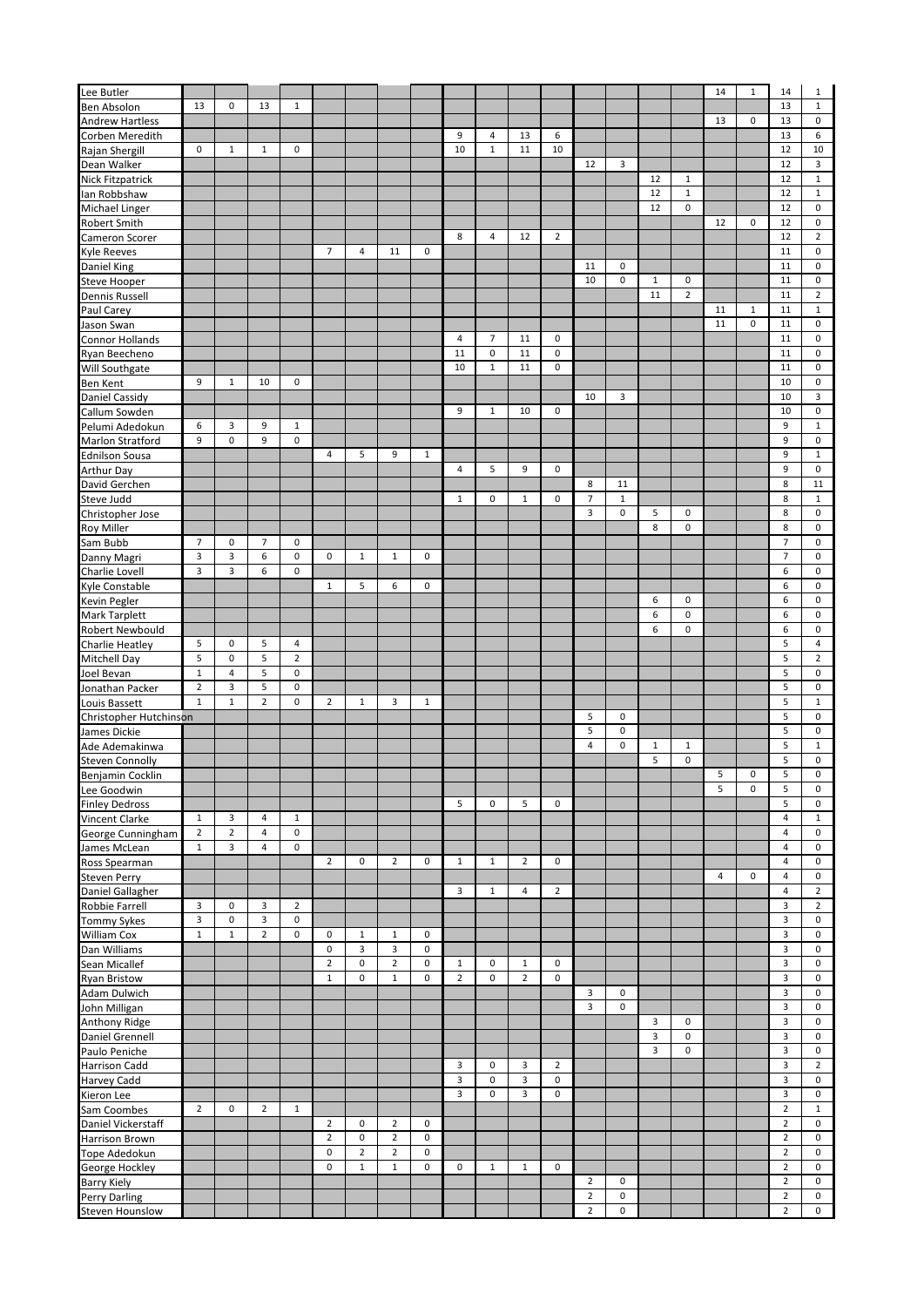| Lee Butler              |                |                |                |                |                     |                |                |              |                |                     |                |                |                |                     |              |                | 14 | $\mathbf{1}$ | 14                      | 1              |
|-------------------------|----------------|----------------|----------------|----------------|---------------------|----------------|----------------|--------------|----------------|---------------------|----------------|----------------|----------------|---------------------|--------------|----------------|----|--------------|-------------------------|----------------|
| <b>Ben Absolon</b>      | 13             | 0              | 13             | $\mathbf{1}$   |                     |                |                |              |                |                     |                |                |                |                     |              |                |    |              | 13                      | 1              |
| <b>Andrew Hartless</b>  |                |                |                |                |                     |                |                |              |                |                     |                |                |                |                     |              |                | 13 | 0            | 13                      | $\mathbf 0$    |
| Corben Meredith         |                |                |                |                |                     |                |                |              | 9              | 4                   | 13             | 6              |                |                     |              |                |    |              | 13                      | 6              |
| Rajan Shergill          | $\mathbf 0$    | $\mathbf{1}$   | $\mathbf{1}$   | 0              |                     |                |                |              | 10             | $\mathbf{1}$        | 11             | 10             |                |                     |              |                |    |              | 12                      | 10             |
| Dean Walker             |                |                |                |                |                     |                |                |              |                |                     |                |                | 12             | 3                   |              |                |    |              | 12                      | 3              |
| <b>Nick Fitzpatrick</b> |                |                |                |                |                     |                |                |              |                |                     |                |                |                |                     | 12           | $\mathbf{1}$   |    |              | 12                      | $\mathbf{1}$   |
| lan Robbshaw            |                |                |                |                |                     |                |                |              |                |                     |                |                |                |                     | 12           | $\mathbf{1}$   |    |              | 12                      | $\mathbf{1}$   |
| Michael Linger          |                |                |                |                |                     |                |                |              |                |                     |                |                |                |                     | 12           | $\mathsf 0$    |    |              | 12                      | $\mathbf 0$    |
| Robert Smith            |                |                |                |                |                     |                |                |              |                |                     |                |                |                |                     |              |                | 12 | 0            | 12                      | $\mathsf 0$    |
| Cameron Scorer          |                |                |                |                |                     |                |                |              | 8              | 4                   | 12             | $\overline{2}$ |                |                     |              |                |    |              | 12                      | $\overline{2}$ |
| <b>Kyle Reeves</b>      |                |                |                |                | $\overline{7}$      | 4              | 11             | 0            |                |                     |                |                |                |                     |              |                |    |              | $11\,$                  | $\mathbf 0$    |
| Daniel King             |                |                |                |                |                     |                |                |              |                |                     |                |                | 11             | 0                   |              |                |    |              | 11                      | $\mathsf 0$    |
| <b>Steve Hooper</b>     |                |                |                |                |                     |                |                |              |                |                     |                |                | 10             | 0                   | $\mathbf{1}$ | 0              |    |              | 11                      | $\mathbf 0$    |
| Dennis Russell          |                |                |                |                |                     |                |                |              |                |                     |                |                |                |                     | 11           | $\overline{2}$ |    |              | 11                      | $\overline{2}$ |
| Paul Carey              |                |                |                |                |                     |                |                |              |                |                     |                |                |                |                     |              |                | 11 | $\mathbf{1}$ | 11                      | $\mathbf{1}$   |
| Jason Swan              |                |                |                |                |                     |                |                |              |                |                     |                |                |                |                     |              |                | 11 | 0            | 11                      | $\mathsf 0$    |
| Connor Hollands         |                |                |                |                |                     |                |                |              | $\overline{4}$ | $\overline{7}$      | 11             | 0              |                |                     |              |                |    |              | 11                      | $\mathsf 0$    |
| Ryan Beecheno           |                |                |                |                |                     |                |                |              | 11             | $\pmb{0}$           | 11             | $\pmb{0}$      |                |                     |              |                |    |              | $11\,$                  | $\pmb{0}$      |
| Will Southgate          |                |                |                |                |                     |                |                |              | 10             | $\mathbf 1$         | 11             | $\pmb{0}$      |                |                     |              |                |    |              | 11                      | $\mathsf 0$    |
| <b>Ben Kent</b>         | 9              | $\mathbf 1$    | 10             | 0              |                     |                |                |              |                |                     |                |                |                |                     |              |                |    |              | 10                      | $\mathbf 0$    |
| <b>Daniel Cassidy</b>   |                |                |                |                |                     |                |                |              |                |                     |                |                | 10             | 3                   |              |                |    |              | 10                      | 3              |
| Callum Sowden           |                |                |                |                |                     |                |                |              | 9              | $\mathbf{1}$        | 10             | $\mathbf 0$    |                |                     |              |                |    |              | 10                      | $\mathsf 0$    |
| Pelumi Adedokun         | 6              | 3              | 9              | $\mathbf 1$    |                     |                |                |              |                |                     |                |                |                |                     |              |                |    |              | 9                       | $\mathbf{1}$   |
| Marlon Stratford        | 9              | $\mathsf 0$    | 9              | $\pmb{0}$      |                     |                |                |              |                |                     |                |                |                |                     |              |                |    |              | 9                       | $\mathsf 0$    |
| <b>Ednilson Sousa</b>   |                |                |                |                | $\overline{4}$      | 5              | 9              | $\mathbf 1$  |                |                     |                |                |                |                     |              |                |    |              | 9                       | $\mathbf{1}$   |
| <b>Arthur Day</b>       |                |                |                |                |                     |                |                |              | $\overline{4}$ | 5                   | 9              | $\mathbf 0$    |                |                     |              |                |    |              | 9                       | $\mathsf 0$    |
| David Gerchen           |                |                |                |                |                     |                |                |              |                |                     |                |                | 8              | $11\,$              |              |                |    |              | 8                       | 11             |
| Steve Judd              |                |                |                |                |                     |                |                |              | $\mathbf{1}$   | 0                   | $\mathbf{1}$   | $\mathbf 0$    | $\overline{7}$ | $\mathbf 1$         |              |                |    |              | 8                       | $\mathbf{1}$   |
| Christopher Jose        |                |                |                |                |                     |                |                |              |                |                     |                |                | 3              | 0                   | 5            | $\mathsf 0$    |    |              | 8                       | $\pmb{0}$      |
| <b>Roy Miller</b>       |                |                |                |                |                     |                |                |              |                |                     |                |                |                |                     | 8            | $\pmb{0}$      |    |              | 8                       | $\mathbf 0$    |
| Sam Bubb                | $\overline{7}$ | $\pmb{0}$      | $\overline{7}$ | 0              |                     |                |                |              |                |                     |                |                |                |                     |              |                |    |              | $\overline{7}$          | $\mathbf 0$    |
| Danny Magri             | 3              | 3              | 6              | $\pmb{0}$      | $\mathsf 0$         | $\mathbf 1$    | $\mathbf{1}$   | $\mathbf 0$  |                |                     |                |                |                |                     |              |                |    |              | $\overline{7}$          | $\mathbf 0$    |
| Charlie Lovell          | 3              | $\overline{3}$ | 6              | $\mathsf 0$    |                     |                |                |              |                |                     |                |                |                |                     |              |                |    |              | 6                       | $\mathsf 0$    |
| Kyle Constable          |                |                |                |                | $\mathbf{1}$        | 5              | 6              | 0            |                |                     |                |                |                |                     |              |                |    |              | 6                       | $\mathbf 0$    |
| Kevin Pegler            |                |                |                |                |                     |                |                |              |                |                     |                |                |                |                     | 6            | 0              |    |              | 6                       | $\mathsf 0$    |
| Mark Tarplett           |                |                |                |                |                     |                |                |              |                |                     |                |                |                |                     | 6            | 0              |    |              | 6                       | $\mathbf 0$    |
|                         |                |                |                |                |                     |                |                |              |                |                     |                |                |                |                     | 6            | $\mathsf 0$    |    |              | 6                       | $\mathbf 0$    |
| Robert Newbould         | 5              | 0              | 5              | 4              |                     |                |                |              |                |                     |                |                |                |                     |              |                |    |              | 5                       | $\overline{4}$ |
| Charlie Heatley         | 5              | $\mathsf 0$    | 5              | $\mathbf 2$    |                     |                |                |              |                |                     |                |                |                |                     |              |                |    |              | 5                       | $\overline{2}$ |
| Mitchell Day            | $\mathbf 1$    | $\overline{4}$ | 5              | $\mathsf 0$    |                     |                |                |              |                |                     |                |                |                |                     |              |                |    |              | 5                       | 0              |
| Joel Bevan              | $\overline{2}$ | 3              | 5              | $\mathsf 0$    |                     |                |                |              |                |                     |                |                |                |                     |              |                |    |              | 5                       | $\mathsf 0$    |
| Jonathan Packer         | $\mathbf{1}$   | $\mathbf 1$    | $\overline{2}$ | $\mathbf 0$    | $\overline{2}$      | $\mathbf{1}$   | 3              |              |                |                     |                |                |                |                     |              |                |    |              | 5                       | $\mathbf{1}$   |
| Louis Bassett           |                |                |                |                |                     |                |                | $\mathbf{1}$ |                |                     |                |                |                |                     |              |                |    |              |                         |                |
| Christopher Hutchinson  |                |                |                |                |                     |                |                |              |                |                     |                |                | 5              | 0                   |              |                |    |              | 5                       | $\mathbf 0$    |
| James Dickie            |                |                |                |                |                     |                |                |              |                |                     |                |                | 5              | $\pmb{0}$           |              |                |    |              | 5                       | $\mathsf 0$    |
| Ade Ademakinwa          |                |                |                |                |                     |                |                |              |                |                     |                |                | 4              | 0                   | $\mathbf{1}$ | $\mathbf{1}$   |    |              | 5                       | $\mathbf{1}$   |
| <b>Steven Connolly</b>  |                |                |                |                |                     |                |                |              |                |                     |                |                |                |                     | 5            | $\pmb{0}$      |    |              | 5                       | $\pmb{0}$      |
| <b>Beniamin Cocklin</b> |                |                |                |                |                     |                |                |              |                |                     |                |                |                |                     |              |                | 5  | 0            | 5                       | $\mathbf 0$    |
| Lee Goodwin             |                |                |                |                |                     |                |                |              |                |                     |                |                |                |                     |              |                | 5  | $\mathsf 0$  | 5                       | 0              |
| <b>Finley Dedross</b>   |                |                |                |                |                     |                |                |              | 5              | 0                   | 5              | $\mathbf 0$    |                |                     |              |                |    |              | 5                       | 0              |
| Vincent Clarke          | $\mathbf{1}$   | 3              | 4              | $\mathbf{1}$   |                     |                |                |              |                |                     |                |                |                |                     |              |                |    |              | $\overline{4}$          | $\mathbf{1}$   |
| George Cunningham       | $\overline{2}$ | $\overline{2}$ | 4              | $\mathsf 0$    |                     |                |                |              |                |                     |                |                |                |                     |              |                |    |              | $\overline{4}$          | $\mathbf 0$    |
| James McLean            | $\mathbf{1}$   | $\overline{3}$ | $\overline{4}$ | 0              |                     |                |                |              |                |                     |                |                |                |                     |              |                |    |              | $\overline{4}$          | 0              |
| Ross Spearman           |                |                |                |                | $\overline{2}$      | 0              | $\overline{2}$ | 0            | $\mathbf{1}$   | $\mathbf{1}$        | $\overline{2}$ | $\mathbf 0$    |                |                     |              |                |    |              | 4                       | $\mathbf 0$    |
| <b>Steven Perry</b>     |                |                |                |                |                     |                |                |              |                |                     |                |                |                |                     |              |                | 4  | 0            | 4                       | 0              |
| Daniel Gallagher        |                |                |                |                |                     |                |                |              | 3              | $\mathbf{1}$        | 4              | $\overline{2}$ |                |                     |              |                |    |              | $\overline{4}$          | $\overline{2}$ |
| Robbie Farrell          | 3              | 0              | 3              | $\overline{2}$ |                     |                |                |              |                |                     |                |                |                |                     |              |                |    |              | 3                       | $\overline{2}$ |
| Tommy Sykes             | $\mathbf{3}$   | $\mathsf 0$    | 3              | $\mathsf 0$    |                     |                |                |              |                |                     |                |                |                |                     |              |                |    |              | 3                       | 0              |
| <b>William Cox</b>      | $\mathbf 1$    | $\mathbf{1}$   | $\overline{2}$ | $\mathsf 0$    | 0                   | $\mathbf{1}$   | $\mathbf{1}$   | $\mathsf 0$  |                |                     |                |                |                |                     |              |                |    |              | 3                       | 0              |
| Dan Williams            |                |                |                |                | $\mathsf{O}\xspace$ | 3              | $\mathbf{3}$   | 0            |                |                     |                |                |                |                     |              |                |    |              | 3                       | $\mathbf 0$    |
| Sean Micallef           |                |                |                |                | $\overline{2}$      | 0              | $\overline{2}$ | $\pmb{0}$    | $\mathbf{1}$   | 0                   | $\mathbf{1}$   | 0              |                |                     |              |                |    |              | 3                       | 0              |
| <b>Ryan Bristow</b>     |                |                |                |                | $\mathbf{1}$        | 0              | $\mathbf{1}$   | 0            | $\overline{2}$ | $\mathsf 0$         | $\overline{2}$ | $\mathsf 0$    |                |                     |              |                |    |              | 3                       | 0              |
| Adam Dulwich            |                |                |                |                |                     |                |                |              |                |                     |                |                | 3              | 0                   |              |                |    |              | 3                       | 0              |
| John Milligan           |                |                |                |                |                     |                |                |              |                |                     |                |                | 3              | 0                   |              |                |    |              | 3                       | 0              |
| Anthony Ridge           |                |                |                |                |                     |                |                |              |                |                     |                |                |                |                     | 3            | 0              |    |              | 3                       | 0              |
| Daniel Grennell         |                |                |                |                |                     |                |                |              |                |                     |                |                |                |                     | 3            | 0              |    |              | $\overline{\mathbf{3}}$ | 0              |
| Paulo Peniche           |                |                |                |                |                     |                |                |              |                |                     |                |                |                |                     | 3            | 0              |    |              | 3                       | $\mathbf 0$    |
| Harrison Cadd           |                |                |                |                |                     |                |                |              | 3              | $\mathsf 0$         | 3              | $\overline{2}$ |                |                     |              |                |    |              | 3                       | $\overline{2}$ |
| Harvey Cadd             |                |                |                |                |                     |                |                |              | 3              | $\mathsf{O}\xspace$ | $\mathsf 3$    | $\mathsf 0$    |                |                     |              |                |    |              | $\mathbf{3}$            | 0              |
| Kieron Lee              |                |                |                |                |                     |                |                |              | 3              | $\mathsf 0$         | 3              | $\mathsf 0$    |                |                     |              |                |    |              | 3                       | 0              |
| Sam Coombes             | $\overline{2}$ | $\mathsf 0$    | $\overline{2}$ | $\mathbf{1}$   |                     |                |                |              |                |                     |                |                |                |                     |              |                |    |              | $\overline{2}$          | $\mathbf{1}$   |
| Daniel Vickerstaff      |                |                |                |                | $\overline{2}$      | 0              | $\overline{2}$ | 0            |                |                     |                |                |                |                     |              |                |    |              | $\overline{2}$          | 0              |
| Harrison Brown          |                |                |                |                | $\overline{2}$      | 0              | $\overline{2}$ | 0            |                |                     |                |                |                |                     |              |                |    |              | $\overline{2}$          | $\mathbf 0$    |
| Tope Adedokun           |                |                |                |                | $\mathsf{O}$        | $\overline{2}$ | $\overline{2}$ | 0            |                |                     |                |                |                |                     |              |                |    |              | $\overline{2}$          | 0              |
| George Hockley          |                |                |                |                | $\mathsf{O}$        | $\mathbf{1}$   | $\mathbf{1}$   | 0            | $\mathbf 0$    | $\mathbf{1}$        | $\mathbf 1$    | $\mathbf 0$    |                |                     |              |                |    |              | $\overline{2}$          | 0              |
| <b>Barry Kiely</b>      |                |                |                |                |                     |                |                |              |                |                     |                |                | $\overline{2}$ | $\mathsf{O}\xspace$ |              |                |    |              | $\overline{2}$          | $\mathbf 0$    |
| <b>Perry Darling</b>    |                |                |                |                |                     |                |                |              |                |                     |                |                | $\overline{2}$ | 0                   |              |                |    |              | $\overline{2}$          | 0              |
| Steven Hounslow         |                |                |                |                |                     |                |                |              |                |                     |                |                | $\overline{2}$ | $\mathsf{O}\xspace$ |              |                |    |              | $\overline{2}$          | $\mathsf 0$    |